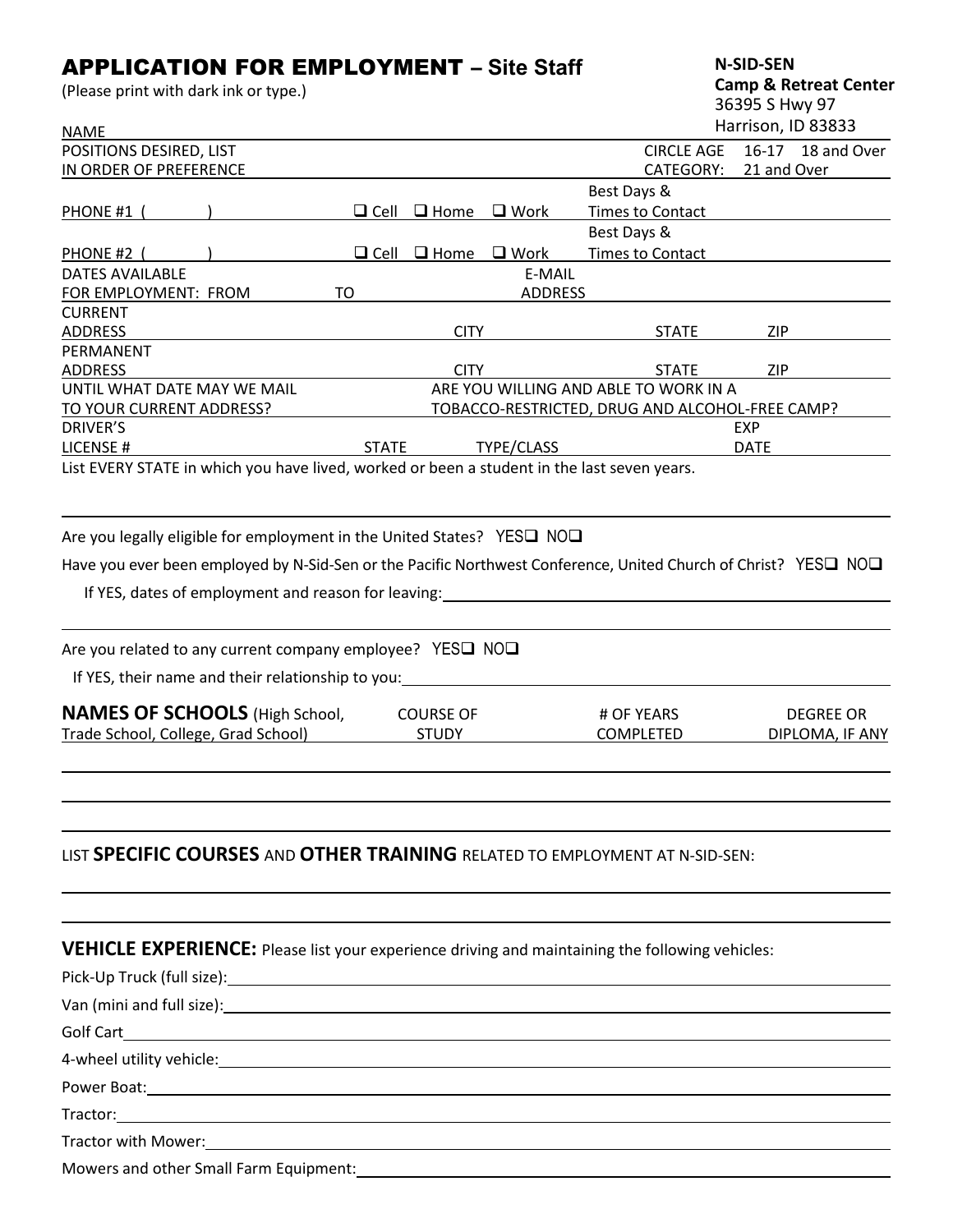# APPLICATION FOR EMPLOYMENT – **Site Staff**

(Please print with dark ink or type.)

**N-SID-SEN Camp & Retreat Center**

|  | 36395 S Hwy 97 |
|--|----------------|
|  | .              |

| <b>NAME</b>                                                                                                     |              |                         |                |                                                 |             | Harrison, ID 83833 |
|-----------------------------------------------------------------------------------------------------------------|--------------|-------------------------|----------------|-------------------------------------------------|-------------|--------------------|
| POSITIONS DESIRED, LIST                                                                                         |              |                         |                | <b>CIRCLE AGE</b>                               |             | 16-17 18 and Over  |
| IN ORDER OF PREFERENCE                                                                                          |              |                         |                | CATEGORY:                                       | 21 and Over |                    |
|                                                                                                                 |              |                         |                | Best Days &                                     |             |                    |
| PHONE #1 (                                                                                                      |              | $\Box$ Cell $\Box$ Home | $\square$ Work | <b>Times to Contact</b>                         |             |                    |
|                                                                                                                 |              |                         |                | Best Days &                                     |             |                    |
| PHONE #2 (                                                                                                      | $\Box$ Cell  | $\Box$ Home             | $\square$ Work | <b>Times to Contact</b>                         |             |                    |
| <b>DATES AVAILABLE</b>                                                                                          |              |                         | E-MAIL         |                                                 |             |                    |
| FOR EMPLOYMENT: FROM                                                                                            | <b>TO</b>    |                         | <b>ADDRESS</b> |                                                 |             |                    |
| <b>CURRENT</b>                                                                                                  |              |                         |                |                                                 |             |                    |
| <b>ADDRESS</b>                                                                                                  |              | <b>CITY</b>             |                | <b>STATE</b>                                    | <b>ZIP</b>  |                    |
| PERMANENT                                                                                                       |              |                         |                |                                                 |             |                    |
| <b>ADDRESS</b>                                                                                                  |              | <b>CITY</b>             |                | <b>STATE</b>                                    | <b>ZIP</b>  |                    |
| UNTIL WHAT DATE MAY WE MAIL                                                                                     |              |                         |                | ARE YOU WILLING AND ABLE TO WORK IN A           |             |                    |
| TO YOUR CURRENT ADDRESS?                                                                                        |              |                         |                | TOBACCO-RESTRICTED, DRUG AND ALCOHOL-FREE CAMP? |             |                    |
| DRIVER'S                                                                                                        |              |                         |                |                                                 | EXP         |                    |
| LICENSE #<br>List EVERY STATE in which you have lived, worked or been a student in the last seven years.        | <b>STATE</b> |                         | TYPE/CLASS     |                                                 | <b>DATE</b> |                    |
| Are you legally eligible for employment in the United States? YES□ NO□                                          |              |                         |                |                                                 |             |                    |
| Have you ever been employed by N-Sid-Sen or the Pacific Northwest Conference, United Church of Christ? YES□ NO□ |              |                         |                |                                                 |             |                    |
|                                                                                                                 |              |                         |                |                                                 |             |                    |
| If YES, dates of employment and reason for leaving:                                                             |              |                         |                |                                                 |             |                    |
| Are you related to any current company employee? YES□ NO□                                                       |              |                         |                |                                                 |             |                    |
| If YES, their name and their relationship to you:                                                               |              |                         |                |                                                 |             |                    |
| <b>NAMES OF SCHOOLS</b> (High School,                                                                           |              | <b>COURSE OF</b>        |                | # OF YEARS                                      |             | <b>DEGREE OR</b>   |
| Trade School, College, Grad School)                                                                             |              | <b>STUDY</b>            |                | COMPLETED                                       |             | DIPLOMA, IF ANY    |
|                                                                                                                 |              |                         |                |                                                 |             |                    |
|                                                                                                                 |              |                         |                |                                                 |             |                    |
| LIST SPECIFIC COURSES AND OTHER TRAINING RELATED TO EMPLOYMENT AT N-SID-SEN:                                    |              |                         |                |                                                 |             |                    |

**VEHICLE EXPERIENCE:** Please list your experience driving and maintaining the following vehicles:

| Power Boat: <u>Communications</u> and the communications of the communications of the communications of the communications of the communications of the communications of the communications of the communications of the communica |  |
|-------------------------------------------------------------------------------------------------------------------------------------------------------------------------------------------------------------------------------------|--|
|                                                                                                                                                                                                                                     |  |
|                                                                                                                                                                                                                                     |  |
|                                                                                                                                                                                                                                     |  |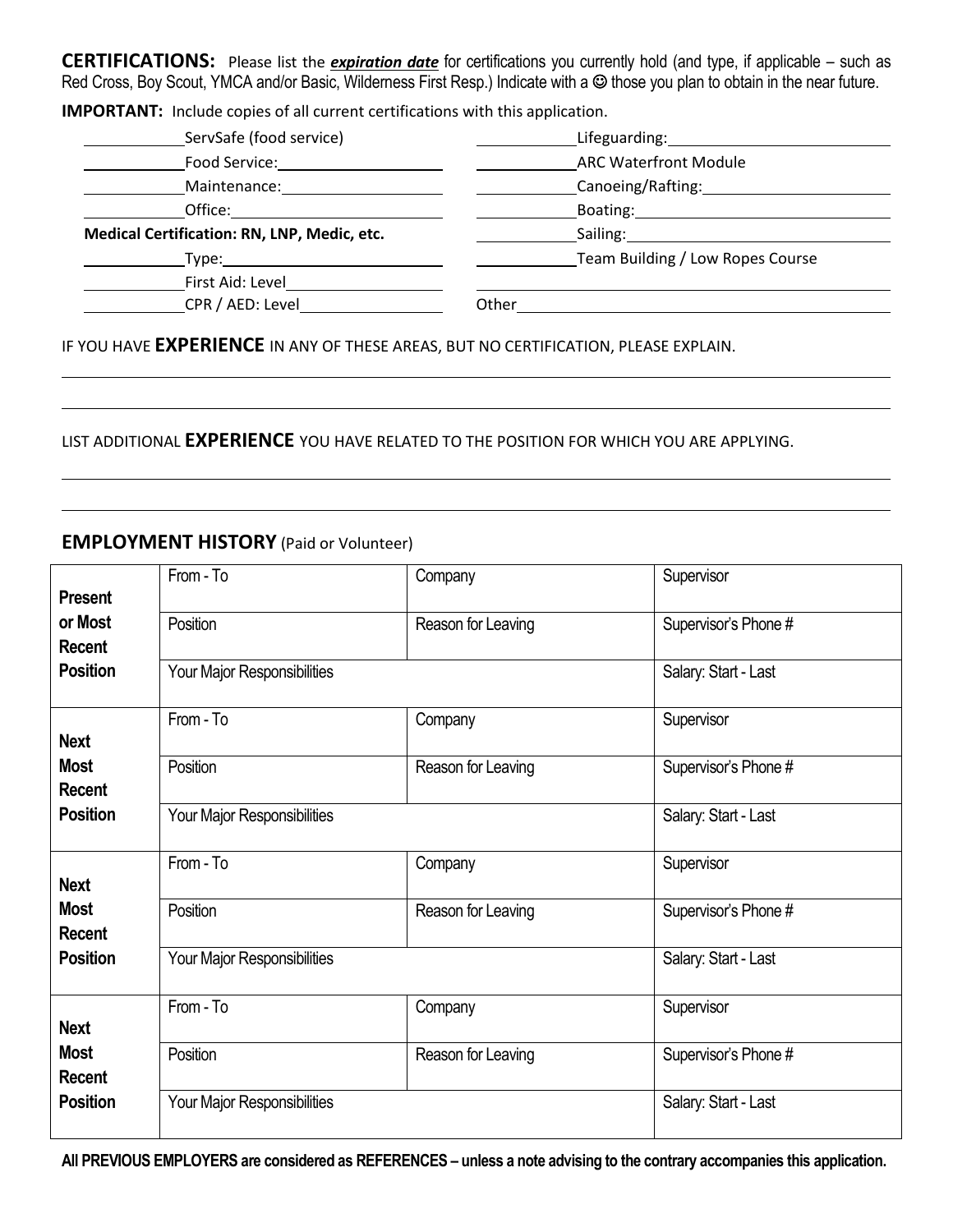**CERTIFICATIONS:** Please list the *expiration date* for certifications you currently hold (and type, if applicable – such as Red Cross, Boy Scout, YMCA and/or Basic, Wilderness First Resp.) Indicate with a © those you plan to obtain in the near future.

**IMPORTANT:** Include copies of all current certifications with this application.

| ServSafe (food service)                                                                                                                                                                                                        | Lifeguarding: 1990               |
|--------------------------------------------------------------------------------------------------------------------------------------------------------------------------------------------------------------------------------|----------------------------------|
| Food Service:                                                                                                                                                                                                                  | <b>ARC Waterfront Module</b>     |
| Maintenance:                                                                                                                                                                                                                   | Canoeing/Rafting:                |
| Office: the contract of the contract of the contract of the contract of the contract of the contract of the contract of the contract of the contract of the contract of the contract of the contract of the contract of the co | Boating: Boating:                |
| Medical Certification: RN, LNP, Medic, etc.                                                                                                                                                                                    | Sailing: Sailing:                |
| Type: the contract of the contract of the contract of the contract of the contract of the contract of the contract of the contract of the contract of the contract of the contract of the contract of the contract of the cont | Team Building / Low Ropes Course |
| First Aid: Level                                                                                                                                                                                                               |                                  |
| CPR / AED: Level                                                                                                                                                                                                               | Other                            |
|                                                                                                                                                                                                                                |                                  |

IF YOU HAVE **EXPERIENCE** IN ANY OF THESE AREAS, BUT NO CERTIFICATION, PLEASE EXPLAIN.

### LIST ADDITIONAL **EXPERIENCE** YOU HAVE RELATED TO THE POSITION FOR WHICH YOU ARE APPLYING.

### **EMPLOYMENT HISTORY** (Paid or Volunteer)

| <b>Present</b>               | From - To                   | Company              | Supervisor           |
|------------------------------|-----------------------------|----------------------|----------------------|
| or Most<br><b>Recent</b>     | Position                    | Reason for Leaving   | Supervisor's Phone # |
| <b>Position</b>              | Your Major Responsibilities | Salary: Start - Last |                      |
| <b>Next</b>                  | From - To                   | Company              | Supervisor           |
| <b>Most</b><br><b>Recent</b> | Position                    | Reason for Leaving   | Supervisor's Phone # |
| <b>Position</b>              | Your Major Responsibilities |                      | Salary: Start - Last |
| <b>Next</b>                  | From - To                   | Company              | Supervisor           |
| <b>Most</b><br><b>Recent</b> | Position                    | Reason for Leaving   | Supervisor's Phone # |
| <b>Position</b>              | Your Major Responsibilities |                      | Salary: Start - Last |
| <b>Next</b>                  | From - To                   | Company              | Supervisor           |
| <b>Most</b><br><b>Recent</b> | Position                    | Reason for Leaving   | Supervisor's Phone # |
| <b>Position</b>              | Your Major Responsibilities |                      | Salary: Start - Last |

**All PREVIOUS EMPLOYERS are considered as REFERENCES – unless a note advising to the contrary accompanies this application.**